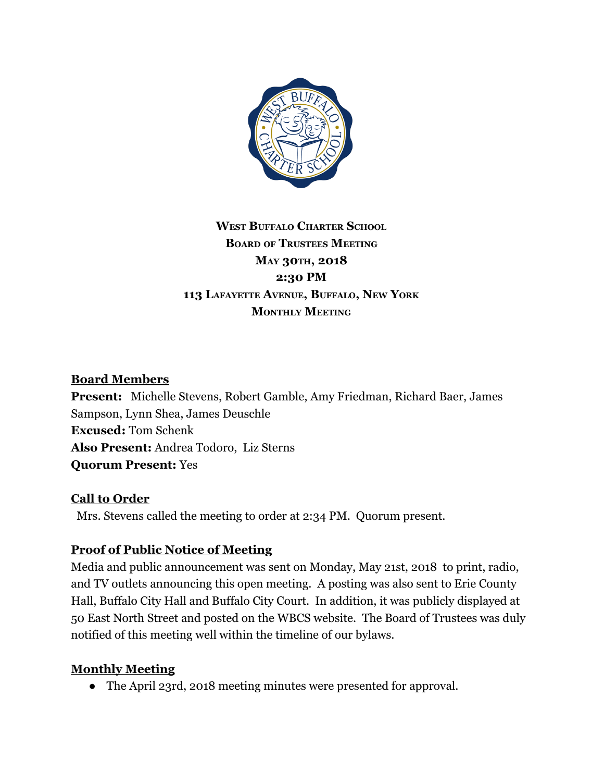

# **WEST BUFFALO CHARTER SCHOOL BOARD OF TRUSTEES MEETING MAY 30TH, 2018 2:30 PM 113 LAFAYETTE AVENUE, BUFFALO, NEW YORK MONTHLY MEETING**

### **Board Members**

**Present:** Michelle Stevens, Robert Gamble, Amy Friedman, Richard Baer, James Sampson, Lynn Shea, James Deuschle **Excused:** Tom Schenk **Also Present:** Andrea Todoro, Liz Sterns **Quorum Present:** Yes

### **Call to Order**

Mrs. Stevens called the meeting to order at 2:34 PM. Quorum present.

## **Proof of Public Notice of Meeting**

Media and public announcement was sent on Monday, May 21st, 2018 to print, radio, and TV outlets announcing this open meeting. A posting was also sent to Erie County Hall, Buffalo City Hall and Buffalo City Court. In addition, it was publicly displayed at 50 East North Street and posted on the WBCS website. The Board of Trustees was duly notified of this meeting well within the timeline of our bylaws.

### **Monthly Meeting**

● The April 23rd, 2018 meeting minutes were presented for approval.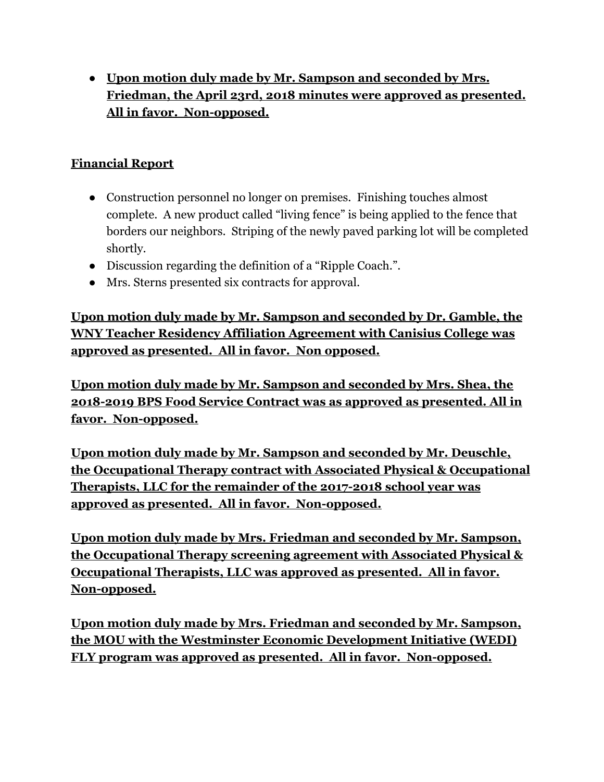● **Upon motion duly made by Mr. Sampson and seconded by Mrs. Friedman, the April 23rd, 2018 minutes were approved as presented. All in favor. Non-opposed.**

### **Financial Report**

- Construction personnel no longer on premises. Finishing touches almost complete. A new product called "living fence" is being applied to the fence that borders our neighbors. Striping of the newly paved parking lot will be completed shortly.
- Discussion regarding the definition of a "Ripple Coach.".
- Mrs. Sterns presented six contracts for approval.

**Upon motion duly made by Mr. Sampson and seconded by Dr. Gamble, the WNY Teacher Residency Affiliation Agreement with Canisius College was approved as presented. All in favor. Non opposed.**

**Upon motion duly made by Mr. Sampson and seconded by Mrs. Shea, the 2018-2019 BPS Food Service Contract was as approved as presented. All in favor. Non-opposed.**

**Upon motion duly made by Mr. Sampson and seconded by Mr. Deuschle, the Occupational Therapy contract with Associated Physical & Occupational Therapists, LLC for the remainder of the 2017-2018 school year was approved as presented. All in favor. Non-opposed.**

**Upon motion duly made by Mrs. Friedman and seconded by Mr. Sampson, the Occupational Therapy screening agreement with Associated Physical & Occupational Therapists, LLC was approved as presented. All in favor. Non-opposed.**

**Upon motion duly made by Mrs. Friedman and seconded by Mr. Sampson, the MOU with the Westminster Economic Development Initiative (WEDI) FLY program was approved as presented. All in favor. Non-opposed.**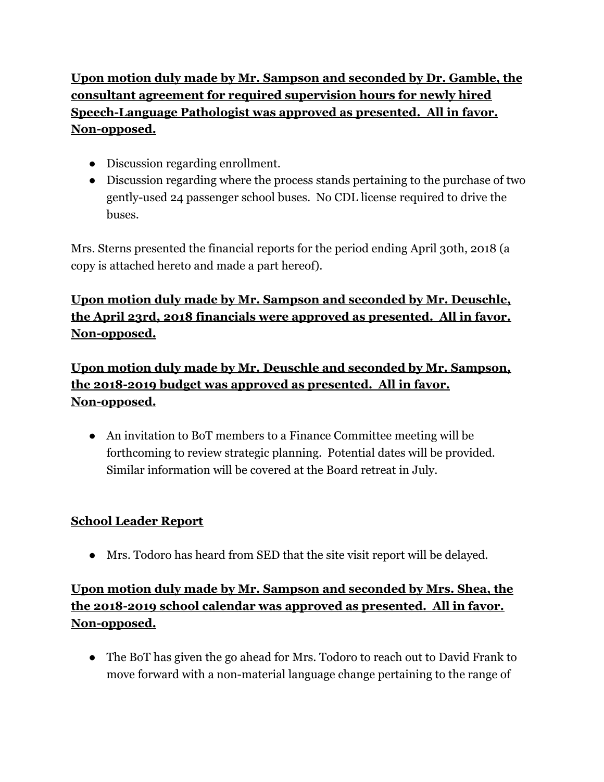**Upon motion duly made by Mr. Sampson and seconded by Dr. Gamble, the consultant agreement for required supervision hours for newly hired Speech-Language Pathologist was approved as presented. All in favor. Non-opposed.**

- Discussion regarding enrollment.
- Discussion regarding where the process stands pertaining to the purchase of two gently-used 24 passenger school buses. No CDL license required to drive the buses.

Mrs. Sterns presented the financial reports for the period ending April 30th, 2018 (a copy is attached hereto and made a part hereof).

# **Upon motion duly made by Mr. Sampson and seconded by Mr. Deuschle, the April 23rd, 2018 financials were approved as presented. All in favor. Non-opposed.**

**Upon motion duly made by Mr. Deuschle and seconded by Mr. Sampson, the 2018-2019 budget was approved as presented. All in favor. Non-opposed.**

● An invitation to BoT members to a Finance Committee meeting will be forthcoming to review strategic planning. Potential dates will be provided. Similar information will be covered at the Board retreat in July.

## **School Leader Report**

● Mrs. Todoro has heard from SED that the site visit report will be delayed.

# **Upon motion duly made by Mr. Sampson and seconded by Mrs. Shea, the the 2018-2019 school calendar was approved as presented. All in favor. Non-opposed.**

• The BoT has given the go ahead for Mrs. Todoro to reach out to David Frank to move forward with a non-material language change pertaining to the range of